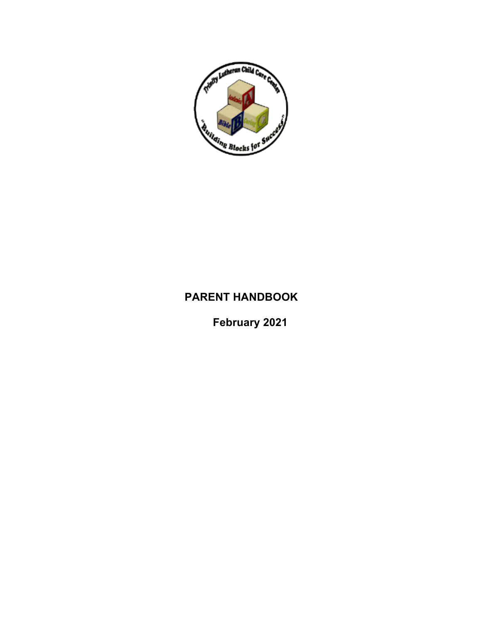

# **PARENT HANDBOOK**

**February 2021**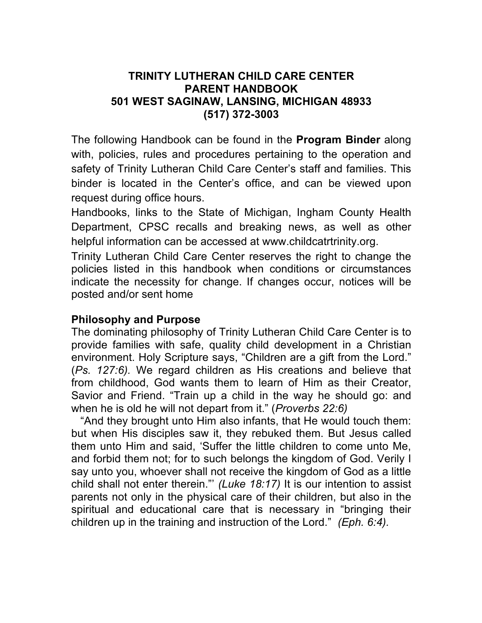### **TRINITY LUTHERAN CHILD CARE CENTER PARENT HANDBOOK 501 WEST SAGINAW, LANSING, MICHIGAN 48933 (517) 372-3003**

The following Handbook can be found in the **Program Binder** along with, policies, rules and procedures pertaining to the operation and safety of Trinity Lutheran Child Care Center's staff and families. This binder is located in the Center's office, and can be viewed upon request during office hours.

Handbooks, links to the State of Michigan, Ingham County Health Department, CPSC recalls and breaking news, as well as other helpful information can be accessed at www.childcatrtrinity.org.

Trinity Lutheran Child Care Center reserves the right to change the policies listed in this handbook when conditions or circumstances indicate the necessity for change. If changes occur, notices will be posted and/or sent home

#### **Philosophy and Purpose**

The dominating philosophy of Trinity Lutheran Child Care Center is to provide families with safe, quality child development in a Christian environment. Holy Scripture says, "Children are a gift from the Lord." (*Ps. 127:6).* We regard children as His creations and believe that from childhood, God wants them to learn of Him as their Creator, Savior and Friend. "Train up a child in the way he should go: and when he is old he will not depart from it." (*Proverbs 22:6)*

 "And they brought unto Him also infants, that He would touch them: but when His disciples saw it, they rebuked them. But Jesus called them unto Him and said, 'Suffer the little children to come unto Me, and forbid them not; for to such belongs the kingdom of God. Verily I say unto you, whoever shall not receive the kingdom of God as a little child shall not enter therein."' *(Luke 18:17)* It is our intention to assist parents not only in the physical care of their children, but also in the spiritual and educational care that is necessary in "bringing their children up in the training and instruction of the Lord." *(Eph. 6:4).*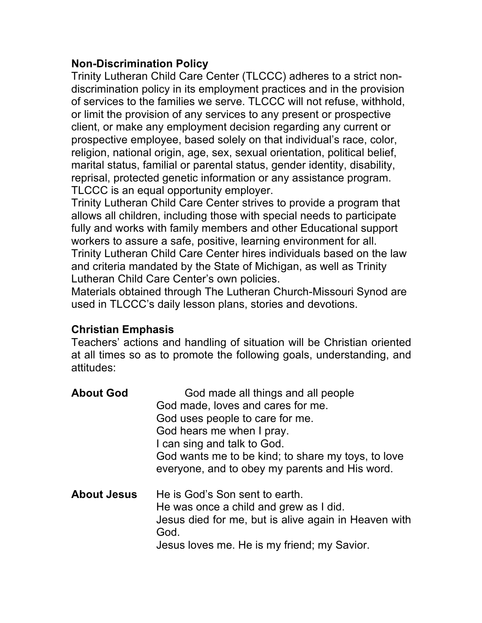# **Non-Discrimination Policy**

Trinity Lutheran Child Care Center (TLCCC) adheres to a strict nondiscrimination policy in its employment practices and in the provision of services to the families we serve. TLCCC will not refuse, withhold, or limit the provision of any services to any present or prospective client, or make any employment decision regarding any current or prospective employee, based solely on that individual's race, color, religion, national origin, age, sex, sexual orientation, political belief, marital status, familial or parental status, gender identity, disability, reprisal, protected genetic information or any assistance program. TLCCC is an equal opportunity employer.

Trinity Lutheran Child Care Center strives to provide a program that allows all children, including those with special needs to participate fully and works with family members and other Educational support workers to assure a safe, positive, learning environment for all. Trinity Lutheran Child Care Center hires individuals based on the law and criteria mandated by the State of Michigan, as well as Trinity Lutheran Child Care Center's own policies.

Materials obtained through The Lutheran Church-Missouri Synod are used in TLCCC's daily lesson plans, stories and devotions.

# **Christian Emphasis**

Teachers' actions and handling of situation will be Christian oriented at all times so as to promote the following goals, understanding, and attitudes:

| <b>About God</b>   | God made all things and all people<br>God made, loves and cares for me.<br>God uses people to care for me.<br>God hears me when I pray.<br>I can sing and talk to God.<br>God wants me to be kind; to share my toys, to love<br>everyone, and to obey my parents and His word. |
|--------------------|--------------------------------------------------------------------------------------------------------------------------------------------------------------------------------------------------------------------------------------------------------------------------------|
| <b>About Jesus</b> | He is God's Son sent to earth.<br>He was once a child and grew as I did.<br>Jesus died for me, but is alive again in Heaven with<br>God.<br>Jesus loves me. He is my friend; my Savior.                                                                                        |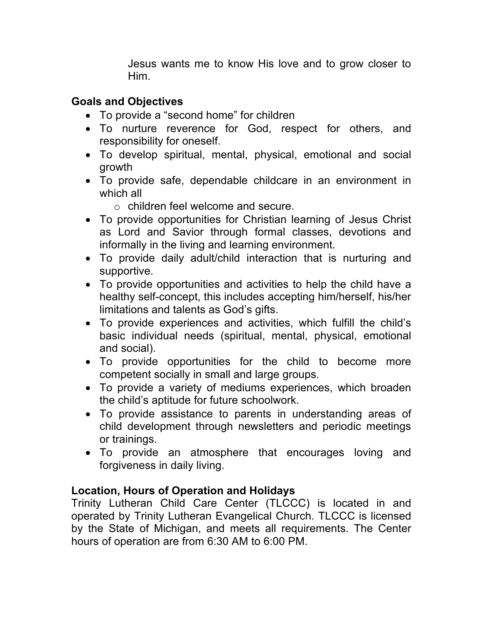Jesus wants me to know His love and to grow closer to Him.

### **Goals and Objectives**

- To provide a "second home" for children
- To nurture reverence for God, respect for others, and responsibility for oneself.
- To develop spiritual, mental, physical, emotional and social growth
- To provide safe, dependable childcare in an environment in which all
	- o children feel welcome and secure.
- To provide opportunities for Christian learning of Jesus Christ as Lord and Savior through formal classes, devotions and informally in the living and learning environment.
- To provide daily adult/child interaction that is nurturing and supportive.
- To provide opportunities and activities to help the child have a healthy self-concept, this includes accepting him/herself, his/her limitations and talents as God's gifts.
- To provide experiences and activities, which fulfill the child's basic individual needs (spiritual, mental, physical, emotional and social).
- To provide opportunities for the child to become more competent socially in small and large groups.
- To provide a variety of mediums experiences, which broaden the child's aptitude for future schoolwork.
- To provide assistance to parents in understanding areas of child development through newsletters and periodic meetings or trainings.
- To provide an atmosphere that encourages loving and forgiveness in daily living.

# **Location, Hours of Operation and Holidays**

Trinity Lutheran Child Care Center (TLCCC) is located in and operated by Trinity Lutheran Evangelical Church. TLCCC is licensed by the State of Michigan, and meets all requirements. The Center hours of operation are from 6:30 AM to 6:00 PM.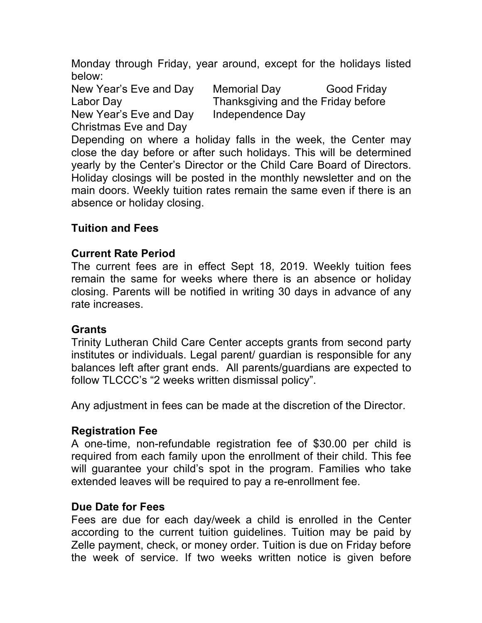Monday through Friday, year around, except for the holidays listed below:

New Year's Eve and Day Independence Day Christmas Eve and Day

New Year's Eve and Day Memorial Day Good Friday Labor Day **Thanksgiving and the Friday before** 

Depending on where a holiday falls in the week, the Center may close the day before or after such holidays. This will be determined yearly by the Center's Director or the Child Care Board of Directors. Holiday closings will be posted in the monthly newsletter and on the main doors. Weekly tuition rates remain the same even if there is an absence or holiday closing.

### **Tuition and Fees**

### **Current Rate Period**

The current fees are in effect Sept 18, 2019. Weekly tuition fees remain the same for weeks where there is an absence or holiday closing. Parents will be notified in writing 30 days in advance of any rate increases.

### **Grants**

Trinity Lutheran Child Care Center accepts grants from second party institutes or individuals. Legal parent/ guardian is responsible for any balances left after grant ends. All parents/guardians are expected to follow TLCCC's "2 weeks written dismissal policy".

Any adjustment in fees can be made at the discretion of the Director.

### **Registration Fee**

A one-time, non-refundable registration fee of \$30.00 per child is required from each family upon the enrollment of their child. This fee will guarantee your child's spot in the program. Families who take extended leaves will be required to pay a re-enrollment fee.

### **Due Date for Fees**

Fees are due for each day/week a child is enrolled in the Center according to the current tuition guidelines. Tuition may be paid by Zelle payment, check, or money order. Tuition is due on Friday before the week of service. If two weeks written notice is given before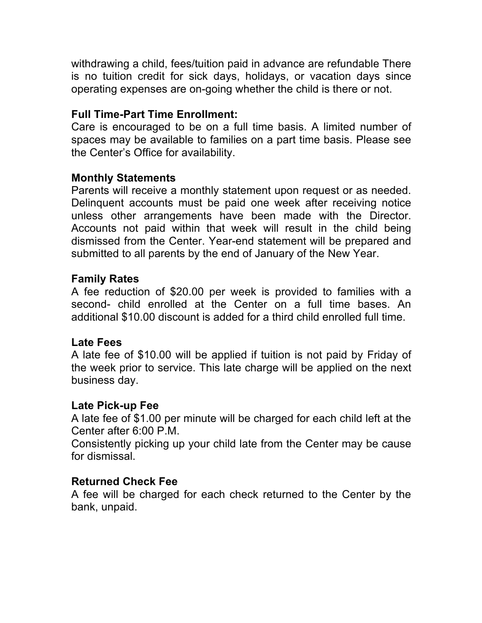withdrawing a child, fees/tuition paid in advance are refundable There is no tuition credit for sick days, holidays, or vacation days since operating expenses are on-going whether the child is there or not.

### **Full Time-Part Time Enrollment:**

Care is encouraged to be on a full time basis. A limited number of spaces may be available to families on a part time basis. Please see the Center's Office for availability.

### **Monthly Statements**

Parents will receive a monthly statement upon request or as needed. Delinquent accounts must be paid one week after receiving notice unless other arrangements have been made with the Director. Accounts not paid within that week will result in the child being dismissed from the Center. Year-end statement will be prepared and submitted to all parents by the end of January of the New Year.

### **Family Rates**

A fee reduction of \$20.00 per week is provided to families with a second- child enrolled at the Center on a full time bases. An additional \$10.00 discount is added for a third child enrolled full time.

### **Late Fees**

A late fee of \$10.00 will be applied if tuition is not paid by Friday of the week prior to service. This late charge will be applied on the next business day.

### **Late Pick-up Fee**

A late fee of \$1.00 per minute will be charged for each child left at the Center after 6:00 P.M.

Consistently picking up your child late from the Center may be cause for dismissal.

### **Returned Check Fee**

A fee will be charged for each check returned to the Center by the bank, unpaid.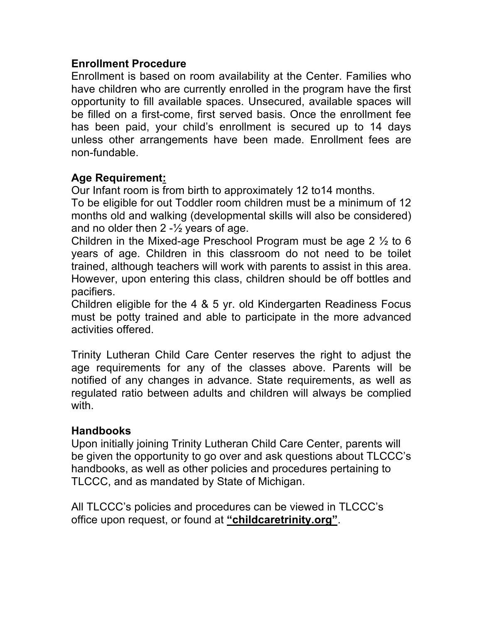### **Enrollment Procedure**

Enrollment is based on room availability at the Center. Families who have children who are currently enrolled in the program have the first opportunity to fill available spaces. Unsecured, available spaces will be filled on a first-come, first served basis. Once the enrollment fee has been paid, your child's enrollment is secured up to 14 days unless other arrangements have been made. Enrollment fees are non-fundable.

### **Age Requirement:**

Our Infant room is from birth to approximately 12 to14 months.

To be eligible for out Toddler room children must be a minimum of 12 months old and walking (developmental skills will also be considered) and no older then  $2 - \frac{1}{2}$  years of age.

Children in the Mixed-age Preschool Program must be age 2 ½ to 6 years of age. Children in this classroom do not need to be toilet trained, although teachers will work with parents to assist in this area. However, upon entering this class, children should be off bottles and pacifiers.

Children eligible for the 4 & 5 yr. old Kindergarten Readiness Focus must be potty trained and able to participate in the more advanced activities offered.

Trinity Lutheran Child Care Center reserves the right to adjust the age requirements for any of the classes above. Parents will be notified of any changes in advance. State requirements, as well as regulated ratio between adults and children will always be complied with.

#### **Handbooks**

Upon initially joining Trinity Lutheran Child Care Center, parents will be given the opportunity to go over and ask questions about TLCCC's handbooks, as well as other policies and procedures pertaining to TLCCC, and as mandated by State of Michigan.

All TLCCC's policies and procedures can be viewed in TLCCC's office upon request, or found at **"childcaretrinity.org"**.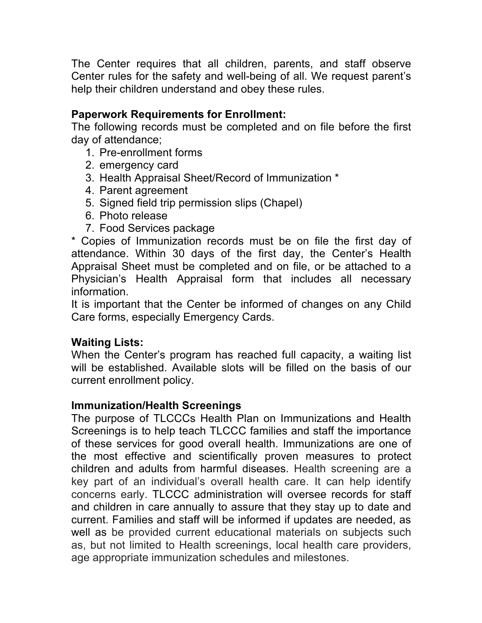The Center requires that all children, parents, and staff observe Center rules for the safety and well-being of all. We request parent's help their children understand and obey these rules.

### **Paperwork Requirements for Enrollment:**

The following records must be completed and on file before the first day of attendance;

- 1. Pre-enrollment forms
- 2. emergency card
- 3. Health Appraisal Sheet/Record of Immunization \*
- 4. Parent agreement
- 5. Signed field trip permission slips (Chapel)
- 6. Photo release
- 7. Food Services package

\* Copies of Immunization records must be on file the first day of attendance. Within 30 days of the first day, the Center's Health Appraisal Sheet must be completed and on file, or be attached to a Physician's Health Appraisal form that includes all necessary information.

It is important that the Center be informed of changes on any Child Care forms, especially Emergency Cards.

# **Waiting Lists:**

When the Center's program has reached full capacity, a waiting list will be established. Available slots will be filled on the basis of our current enrollment policy.

### **Immunization/Health Screenings**

The purpose of TLCCCs Health Plan on Immunizations and Health Screenings is to help teach TLCCC families and staff the importance of these services for good overall health. Immunizations are one of the most effective and scientifically proven measures to protect children and adults from harmful diseases. Health screening are a key part of an individual's overall health care. It can help identify concerns early. TLCCC administration will oversee records for staff and children in care annually to assure that they stay up to date and current. Families and staff will be informed if updates are needed, as well as be provided current educational materials on subjects such as, but not limited to Health screenings, local health care providers, age appropriate immunization schedules and milestones.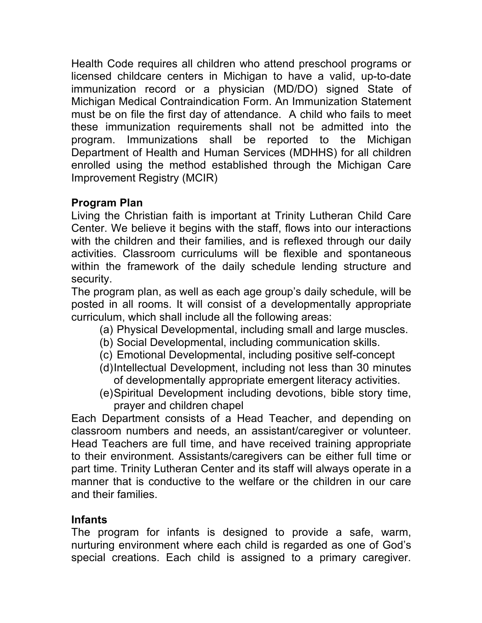Health Code requires all children who attend preschool programs or licensed childcare centers in Michigan to have a valid, up-to-date immunization record or a physician (MD/DO) signed State of Michigan Medical Contraindication Form. An Immunization Statement must be on file the first day of attendance. A child who fails to meet these immunization requirements shall not be admitted into the program. Immunizations shall be reported to the Michigan Department of Health and Human Services (MDHHS) for all children enrolled using the method established through the Michigan Care Improvement Registry (MCIR)

# **Program Plan**

Living the Christian faith is important at Trinity Lutheran Child Care Center. We believe it begins with the staff, flows into our interactions with the children and their families, and is reflexed through our daily activities. Classroom curriculums will be flexible and spontaneous within the framework of the daily schedule lending structure and security.

The program plan, as well as each age group's daily schedule, will be posted in all rooms. It will consist of a developmentally appropriate curriculum, which shall include all the following areas:

- (a) Physical Developmental, including small and large muscles.
- (b) Social Developmental, including communication skills.
- (c) Emotional Developmental, including positive self-concept
- (d)Intellectual Development, including not less than 30 minutes of developmentally appropriate emergent literacy activities.
- (e)Spiritual Development including devotions, bible story time, prayer and children chapel

Each Department consists of a Head Teacher, and depending on classroom numbers and needs, an assistant/caregiver or volunteer. Head Teachers are full time, and have received training appropriate to their environment. Assistants/caregivers can be either full time or part time. Trinity Lutheran Center and its staff will always operate in a manner that is conductive to the welfare or the children in our care and their families.

### **Infants**

The program for infants is designed to provide a safe, warm, nurturing environment where each child is regarded as one of God's special creations. Each child is assigned to a primary caregiver.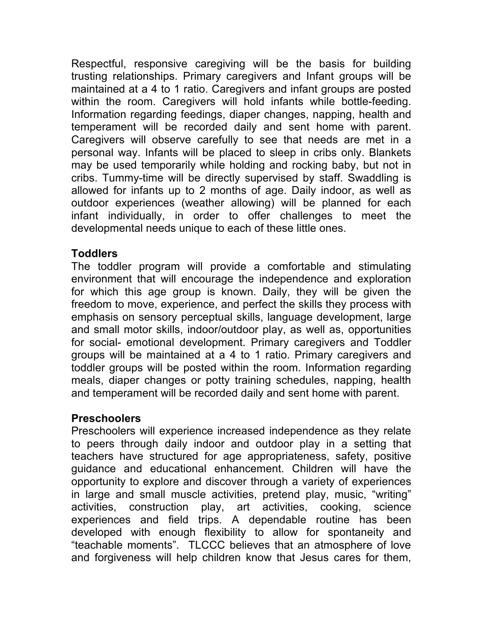Respectful, responsive caregiving will be the basis for building trusting relationships. Primary caregivers and Infant groups will be maintained at a 4 to 1 ratio. Caregivers and infant groups are posted within the room. Caregivers will hold infants while bottle-feeding. Information regarding feedings, diaper changes, napping, health and temperament will be recorded daily and sent home with parent. Caregivers will observe carefully to see that needs are met in a personal way. Infants will be placed to sleep in cribs only. Blankets may be used temporarily while holding and rocking baby, but not in cribs. Tummy-time will be directly supervised by staff. Swaddling is allowed for infants up to 2 months of age. Daily indoor, as well as outdoor experiences (weather allowing) will be planned for each infant individually, in order to offer challenges to meet the developmental needs unique to each of these little ones.

### **Toddlers**

The toddler program will provide a comfortable and stimulating environment that will encourage the independence and exploration for which this age group is known. Daily, they will be given the freedom to move, experience, and perfect the skills they process with emphasis on sensory perceptual skills, language development, large and small motor skills, indoor/outdoor play, as well as, opportunities for social- emotional development. Primary caregivers and Toddler groups will be maintained at a 4 to 1 ratio. Primary caregivers and toddler groups will be posted within the room. Information regarding meals, diaper changes or potty training schedules, napping, health and temperament will be recorded daily and sent home with parent.

### **Preschoolers**

Preschoolers will experience increased independence as they relate to peers through daily indoor and outdoor play in a setting that teachers have structured for age appropriateness, safety, positive guidance and educational enhancement. Children will have the opportunity to explore and discover through a variety of experiences in large and small muscle activities, pretend play, music, "writing" activities, construction play, art activities, cooking, science experiences and field trips. A dependable routine has been developed with enough flexibility to allow for spontaneity and "teachable moments". TLCCC believes that an atmosphere of love and forgiveness will help children know that Jesus cares for them,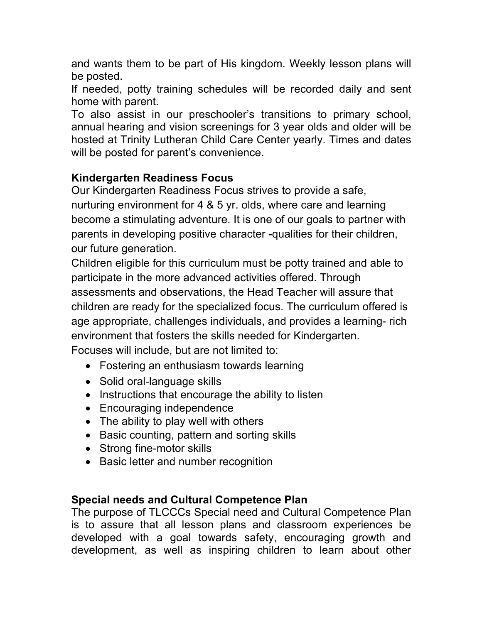and wants them to be part of His kingdom. Weekly lesson plans will be posted.

If needed, potty training schedules will be recorded daily and sent home with parent.

To also assist in our preschooler's transitions to primary school, annual hearing and vision screenings for 3 year olds and older will be hosted at Trinity Lutheran Child Care Center yearly. Times and dates will be posted for parent's convenience.

# **Kindergarten Readiness Focus**

Our Kindergarten Readiness Focus strives to provide a safe, nurturing environment for 4 & 5 yr. olds, where care and learning become a stimulating adventure. It is one of our goals to partner with parents in developing positive character -qualities for their children, our future generation.

Children eligible for this curriculum must be potty trained and able to participate in the more advanced activities offered. Through assessments and observations, the Head Teacher will assure that children are ready for the specialized focus. The curriculum offered is age appropriate, challenges individuals, and provides a learning- rich environment that fosters the skills needed for Kindergarten. Focuses will include, but are not limited to:

- Fostering an enthusiasm towards learning
- Solid oral-language skills
- Instructions that encourage the ability to listen
- Encouraging independence
- The ability to play well with others
- Basic counting, pattern and sorting skills
- Strong fine-motor skills
- Basic letter and number recognition

# **Special needs and Cultural Competence Plan**

The purpose of TLCCCs Special need and Cultural Competence Plan is to assure that all lesson plans and classroom experiences be developed with a goal towards safety, encouraging growth and development, as well as inspiring children to learn about other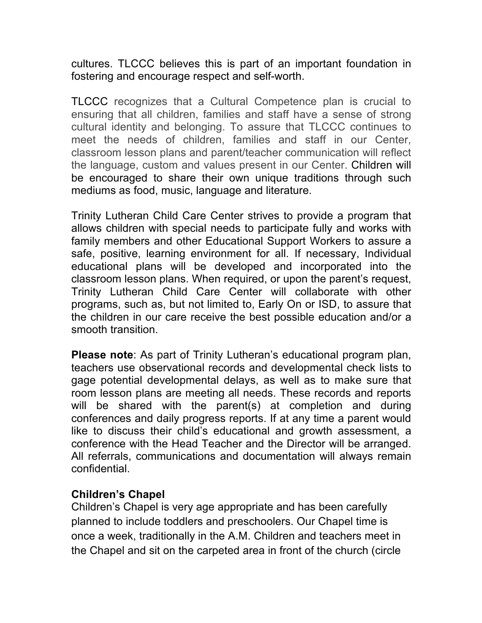cultures. TLCCC believes this is part of an important foundation in fostering and encourage respect and self-worth.

TLCCC recognizes that a Cultural Competence plan is crucial to ensuring that all children, families and staff have a sense of strong cultural identity and belonging. To assure that TLCCC continues to meet the needs of children, families and staff in our Center, classroom lesson plans and parent/teacher communication will reflect the language, custom and values present in our Center. Children will be encouraged to share their own unique traditions through such mediums as food, music, language and literature.

Trinity Lutheran Child Care Center strives to provide a program that allows children with special needs to participate fully and works with family members and other Educational Support Workers to assure a safe, positive, learning environment for all. If necessary, Individual educational plans will be developed and incorporated into the classroom lesson plans. When required, or upon the parent's request, Trinity Lutheran Child Care Center will collaborate with other programs, such as, but not limited to, Early On or ISD, to assure that the children in our care receive the best possible education and/or a smooth transition.

**Please note**: As part of Trinity Lutheran's educational program plan, teachers use observational records and developmental check lists to gage potential developmental delays, as well as to make sure that room lesson plans are meeting all needs. These records and reports will be shared with the parent(s) at completion and during conferences and daily progress reports. If at any time a parent would like to discuss their child's educational and growth assessment, a conference with the Head Teacher and the Director will be arranged. All referrals, communications and documentation will always remain confidential.

### **Children's Chapel**

Children's Chapel is very age appropriate and has been carefully planned to include toddlers and preschoolers. Our Chapel time is once a week, traditionally in the A.M. Children and teachers meet in the Chapel and sit on the carpeted area in front of the church (circle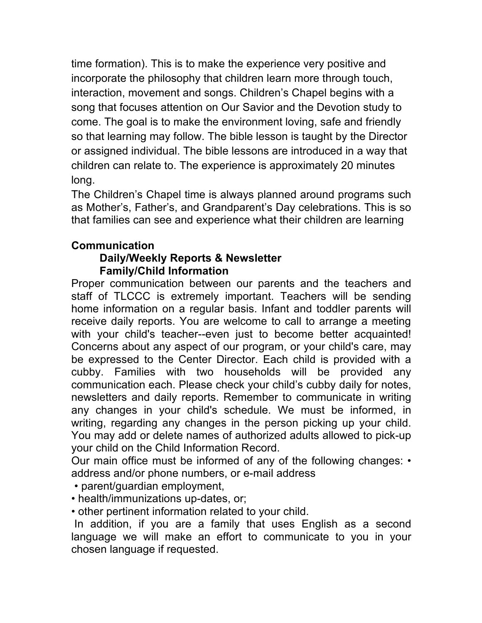time formation). This is to make the experience very positive and incorporate the philosophy that children learn more through touch, interaction, movement and songs. Children's Chapel begins with a song that focuses attention on Our Savior and the Devotion study to come. The goal is to make the environment loving, safe and friendly so that learning may follow. The bible lesson is taught by the Director or assigned individual. The bible lessons are introduced in a way that children can relate to. The experience is approximately 20 minutes long.

The Children's Chapel time is always planned around programs such as Mother's, Father's, and Grandparent's Day celebrations. This is so that families can see and experience what their children are learning

# **Communication**

#### **Daily/Weekly Reports & Newsletter Family/Child Information**

Proper communication between our parents and the teachers and staff of TLCCC is extremely important. Teachers will be sending home information on a regular basis. Infant and toddler parents will receive daily reports. You are welcome to call to arrange a meeting with your child's teacher--even just to become better acquainted! Concerns about any aspect of our program, or your child's care, may be expressed to the Center Director. Each child is provided with a cubby. Families with two households will be provided any communication each. Please check your child's cubby daily for notes, newsletters and daily reports. Remember to communicate in writing any changes in your child's schedule. We must be informed, in writing, regarding any changes in the person picking up your child. You may add or delete names of authorized adults allowed to pick-up your child on the Child Information Record.

Our main office must be informed of any of the following changes: • address and/or phone numbers, or e-mail address

- parent/guardian employment,
- health/immunizations up-dates, or;

• other pertinent information related to your child.

In addition, if you are a family that uses English as a second language we will make an effort to communicate to you in your chosen language if requested.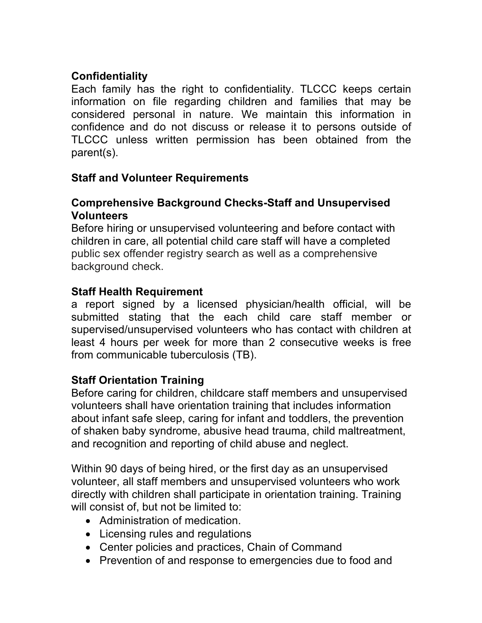# **Confidentiality**

Each family has the right to confidentiality. TLCCC keeps certain information on file regarding children and families that may be considered personal in nature. We maintain this information in confidence and do not discuss or release it to persons outside of TLCCC unless written permission has been obtained from the parent(s).

# **Staff and Volunteer Requirements**

### **Comprehensive Background Checks-Staff and Unsupervised Volunteers**

Before hiring or unsupervised volunteering and before contact with children in care, all potential child care staff will have a completed public sex offender registry search as well as a comprehensive background check.

# **Staff Health Requirement**

a report signed by a licensed physician/health official, will be submitted stating that the each child care staff member or supervised/unsupervised volunteers who has contact with children at least 4 hours per week for more than 2 consecutive weeks is free from communicable tuberculosis (TB).

# **Staff Orientation Training**

Before caring for children, childcare staff members and unsupervised volunteers shall have orientation training that includes information about infant safe sleep, caring for infant and toddlers, the prevention of shaken baby syndrome, abusive head trauma, child maltreatment, and recognition and reporting of child abuse and neglect.

Within 90 days of being hired, or the first day as an unsupervised volunteer, all staff members and unsupervised volunteers who work directly with children shall participate in orientation training. Training will consist of, but not be limited to:

- Administration of medication.
- Licensing rules and regulations
- Center policies and practices, Chain of Command
- Prevention of and response to emergencies due to food and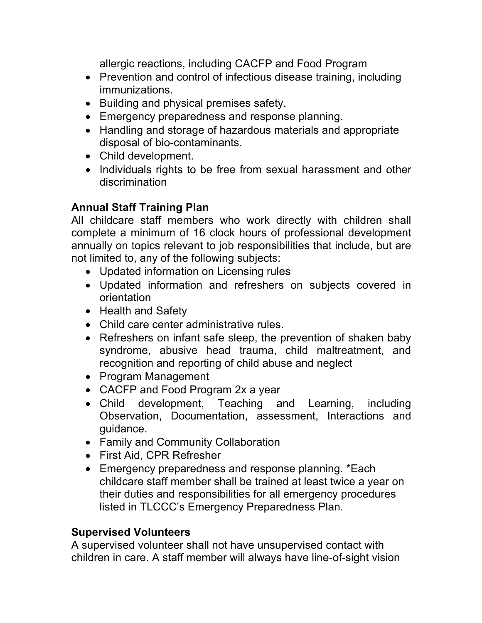allergic reactions, including CACFP and Food Program

- Prevention and control of infectious disease training, including immunizations.
- Building and physical premises safety.
- Emergency preparedness and response planning.
- Handling and storage of hazardous materials and appropriate disposal of bio-contaminants.
- Child development.
- Individuals rights to be free from sexual harassment and other discrimination

# **Annual Staff Training Plan**

All childcare staff members who work directly with children shall complete a minimum of 16 clock hours of professional development annually on topics relevant to job responsibilities that include, but are not limited to, any of the following subjects:

- Updated information on Licensing rules
- Updated information and refreshers on subjects covered in orientation
- Health and Safety
- Child care center administrative rules.
- Refreshers on infant safe sleep, the prevention of shaken baby syndrome, abusive head trauma, child maltreatment, and recognition and reporting of child abuse and neglect
- Program Management
- CACFP and Food Program 2x a year
- Child development, Teaching and Learning, including Observation, Documentation, assessment, Interactions and guidance.
- Family and Community Collaboration
- First Aid, CPR Refresher
- Emergency preparedness and response planning. \*Each childcare staff member shall be trained at least twice a year on their duties and responsibilities for all emergency procedures listed in TLCCC's Emergency Preparedness Plan.

# **Supervised Volunteers**

A supervised volunteer shall not have unsupervised contact with children in care. A staff member will always have line-of-sight vision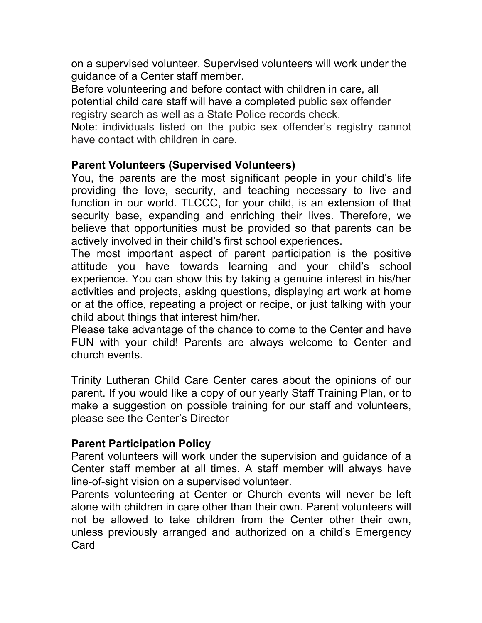on a supervised volunteer. Supervised volunteers will work under the guidance of a Center staff member.

Before volunteering and before contact with children in care, all potential child care staff will have a completed public sex offender registry search as well as a State Police records check.

Note: individuals listed on the pubic sex offender's registry cannot have contact with children in care.

### **Parent Volunteers (Supervised Volunteers)**

You, the parents are the most significant people in your child's life providing the love, security, and teaching necessary to live and function in our world. TLCCC, for your child, is an extension of that security base, expanding and enriching their lives. Therefore, we believe that opportunities must be provided so that parents can be actively involved in their child's first school experiences.

The most important aspect of parent participation is the positive attitude you have towards learning and your child's school experience. You can show this by taking a genuine interest in his/her activities and projects, asking questions, displaying art work at home or at the office, repeating a project or recipe, or just talking with your child about things that interest him/her.

Please take advantage of the chance to come to the Center and have FUN with your child! Parents are always welcome to Center and church events.

Trinity Lutheran Child Care Center cares about the opinions of our parent. If you would like a copy of our yearly Staff Training Plan, or to make a suggestion on possible training for our staff and volunteers, please see the Center's Director

### **Parent Participation Policy**

Parent volunteers will work under the supervision and guidance of a Center staff member at all times. A staff member will always have line-of-sight vision on a supervised volunteer.

Parents volunteering at Center or Church events will never be left alone with children in care other than their own. Parent volunteers will not be allowed to take children from the Center other their own, unless previously arranged and authorized on a child's Emergency Card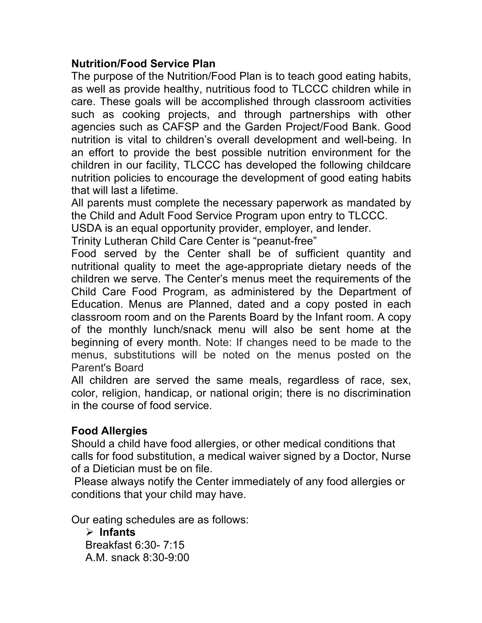# **Nutrition/Food Service Plan**

The purpose of the Nutrition/Food Plan is to teach good eating habits, as well as provide healthy, nutritious food to TLCCC children while in care. These goals will be accomplished through classroom activities such as cooking projects, and through partnerships with other agencies such as CAFSP and the Garden Project/Food Bank. Good nutrition is vital to children's overall development and well-being. In an effort to provide the best possible nutrition environment for the children in our facility, TLCCC has developed the following childcare nutrition policies to encourage the development of good eating habits that will last a lifetime.

All parents must complete the necessary paperwork as mandated by the Child and Adult Food Service Program upon entry to TLCCC.

USDA is an equal opportunity provider, employer, and lender.

Trinity Lutheran Child Care Center is "peanut-free"

Food served by the Center shall be of sufficient quantity and nutritional quality to meet the age-appropriate dietary needs of the children we serve. The Center's menus meet the requirements of the Child Care Food Program, as administered by the Department of Education. Menus are Planned, dated and a copy posted in each classroom room and on the Parents Board by the Infant room. A copy of the monthly lunch/snack menu will also be sent home at the beginning of every month. Note: If changes need to be made to the menus, substitutions will be noted on the menus posted on the Parent's Board

All children are served the same meals, regardless of race, sex, color, religion, handicap, or national origin; there is no discrimination in the course of food service.

### **Food Allergies**

Should a child have food allergies, or other medical conditions that calls for food substitution, a medical waiver signed by a Doctor, Nurse of a Dietician must be on file.

Please always notify the Center immediately of any food allergies or conditions that your child may have.

Our eating schedules are as follows:

Ø **Infants** Breakfast 6:30- 7:15 A.M. snack 8:30-9:00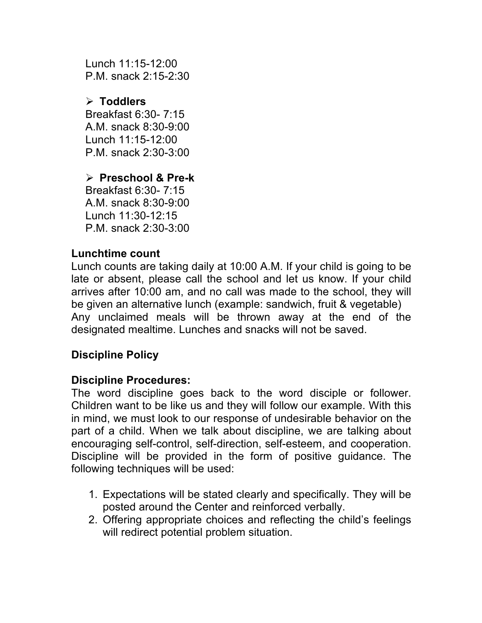Lunch 11:15-12:00 P.M. snack 2:15-2:30

# Ø **Toddlers**

Breakfast 6:30- 7:15 A.M. snack 8:30-9:00 Lunch 11:15-12:00 P.M. snack 2:30-3:00

# Ø **Preschool & Pre-k**

Breakfast 6:30- 7:15 A.M. snack 8:30-9:00 Lunch 11:30-12:15 P.M. snack 2:30-3:00

# **Lunchtime count**

Lunch counts are taking daily at 10:00 A.M. If your child is going to be late or absent, please call the school and let us know. If your child arrives after 10:00 am, and no call was made to the school, they will be given an alternative lunch (example: sandwich, fruit & vegetable) Any unclaimed meals will be thrown away at the end of the designated mealtime. Lunches and snacks will not be saved.

# **Discipline Policy**

# **Discipline Procedures:**

The word discipline goes back to the word disciple or follower. Children want to be like us and they will follow our example. With this in mind, we must look to our response of undesirable behavior on the part of a child. When we talk about discipline, we are talking about encouraging self-control, self-direction, self-esteem, and cooperation. Discipline will be provided in the form of positive guidance. The following techniques will be used:

- 1. Expectations will be stated clearly and specifically. They will be posted around the Center and reinforced verbally.
- 2. Offering appropriate choices and reflecting the child's feelings will redirect potential problem situation.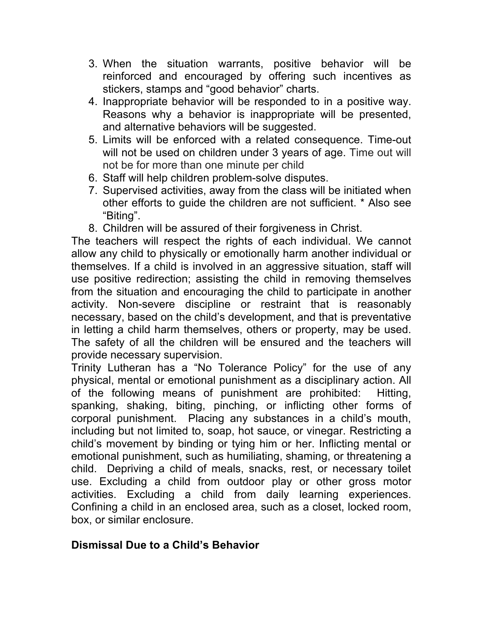- 3. When the situation warrants, positive behavior will be reinforced and encouraged by offering such incentives as stickers, stamps and "good behavior" charts.
- 4. Inappropriate behavior will be responded to in a positive way. Reasons why a behavior is inappropriate will be presented, and alternative behaviors will be suggested.
- 5. Limits will be enforced with a related consequence. Time-out will not be used on children under 3 years of age. Time out will not be for more than one minute per child
- 6. Staff will help children problem-solve disputes.
- 7. Supervised activities, away from the class will be initiated when other efforts to guide the children are not sufficient. \* Also see "Biting".
- 8. Children will be assured of their forgiveness in Christ.

The teachers will respect the rights of each individual. We cannot allow any child to physically or emotionally harm another individual or themselves. If a child is involved in an aggressive situation, staff will use positive redirection; assisting the child in removing themselves from the situation and encouraging the child to participate in another activity. Non-severe discipline or restraint that is reasonably necessary, based on the child's development, and that is preventative in letting a child harm themselves, others or property, may be used. The safety of all the children will be ensured and the teachers will provide necessary supervision.

Trinity Lutheran has a "No Tolerance Policy" for the use of any physical, mental or emotional punishment as a disciplinary action. All of the following means of punishment are prohibited: Hitting, spanking, shaking, biting, pinching, or inflicting other forms of corporal punishment. Placing any substances in a child's mouth, including but not limited to, soap, hot sauce, or vinegar. Restricting a child's movement by binding or tying him or her. Inflicting mental or emotional punishment, such as humiliating, shaming, or threatening a child. Depriving a child of meals, snacks, rest, or necessary toilet use. Excluding a child from outdoor play or other gross motor activities. Excluding a child from daily learning experiences. Confining a child in an enclosed area, such as a closet, locked room, box, or similar enclosure.

# **Dismissal Due to a Child's Behavior**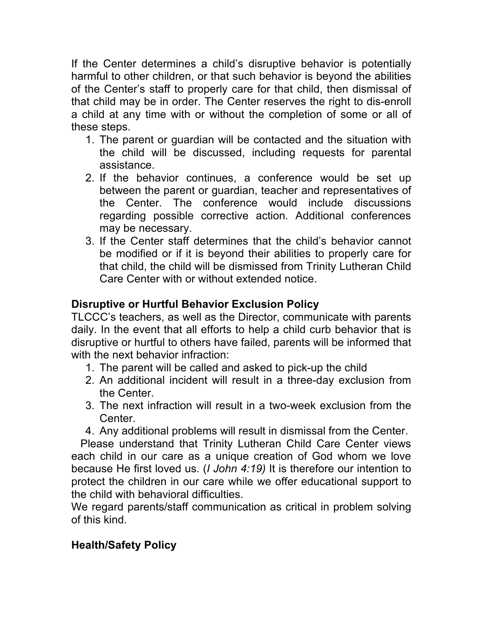If the Center determines a child's disruptive behavior is potentially harmful to other children, or that such behavior is beyond the abilities of the Center's staff to properly care for that child, then dismissal of that child may be in order. The Center reserves the right to dis-enroll a child at any time with or without the completion of some or all of these steps.

- 1. The parent or guardian will be contacted and the situation with the child will be discussed, including requests for parental assistance.
- 2. If the behavior continues, a conference would be set up between the parent or guardian, teacher and representatives of the Center. The conference would include discussions regarding possible corrective action. Additional conferences may be necessary.
- 3. If the Center staff determines that the child's behavior cannot be modified or if it is beyond their abilities to properly care for that child, the child will be dismissed from Trinity Lutheran Child Care Center with or without extended notice.

# **Disruptive or Hurtful Behavior Exclusion Policy**

TLCCC's teachers, as well as the Director, communicate with parents daily. In the event that all efforts to help a child curb behavior that is disruptive or hurtful to others have failed, parents will be informed that with the next behavior infraction:

- 1. The parent will be called and asked to pick-up the child
- 2. An additional incident will result in a three-day exclusion from the Center.
- 3. The next infraction will result in a two-week exclusion from the Center.
- 4. Any additional problems will result in dismissal from the Center.

 Please understand that Trinity Lutheran Child Care Center views each child in our care as a unique creation of God whom we love because He first loved us. (*I John 4:19)* It is therefore our intention to protect the children in our care while we offer educational support to the child with behavioral difficulties.

We regard parents/staff communication as critical in problem solving of this kind.

# **Health/Safety Policy**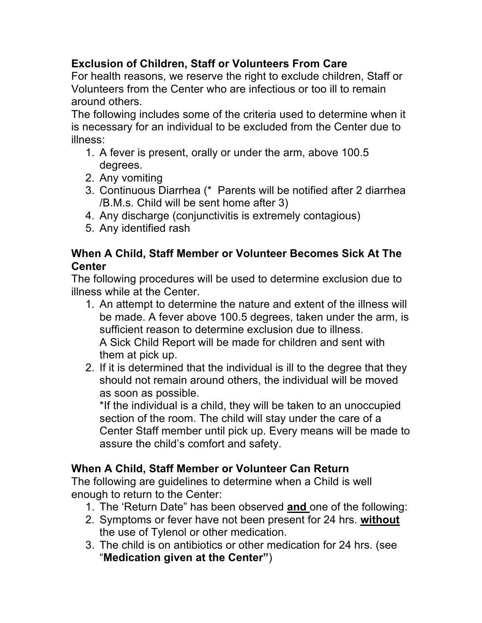# **Exclusion of Children, Staff or Volunteers From Care**

For health reasons, we reserve the right to exclude children, Staff or Volunteers from the Center who are infectious or too ill to remain around others.

The following includes some of the criteria used to determine when it is necessary for an individual to be excluded from the Center due to illness:

- 1. A fever is present, orally or under the arm, above 100.5 degrees.
- 2. Any vomiting
- 3. Continuous Diarrhea (\* Parents will be notified after 2 diarrhea /B.M.s. Child will be sent home after 3)
- 4. Any discharge (conjunctivitis is extremely contagious)
- 5. Any identified rash

### **When A Child, Staff Member or Volunteer Becomes Sick At The Center**

The following procedures will be used to determine exclusion due to illness while at the Center.

- 1. An attempt to determine the nature and extent of the illness will be made. A fever above 100.5 degrees, taken under the arm, is sufficient reason to determine exclusion due to illness. A Sick Child Report will be made for children and sent with them at pick up.
- 2. If it is determined that the individual is ill to the degree that they should not remain around others, the individual will be moved as soon as possible.

\*If the individual is a child, they will be taken to an unoccupied section of the room. The child will stay under the care of a Center Staff member until pick up. Every means will be made to assure the child's comfort and safety.

# **When A Child, Staff Member or Volunteer Can Return**

The following are guidelines to determine when a Child is well enough to return to the Center:

- 1. The 'Return Date" has been observed **and** one of the following:
- 2. Symptoms or fever have not been present for 24 hrs. **without** the use of Tylenol or other medication.
- 3. The child is on antibiotics or other medication for 24 hrs. (see "**Medication given at the Center"**)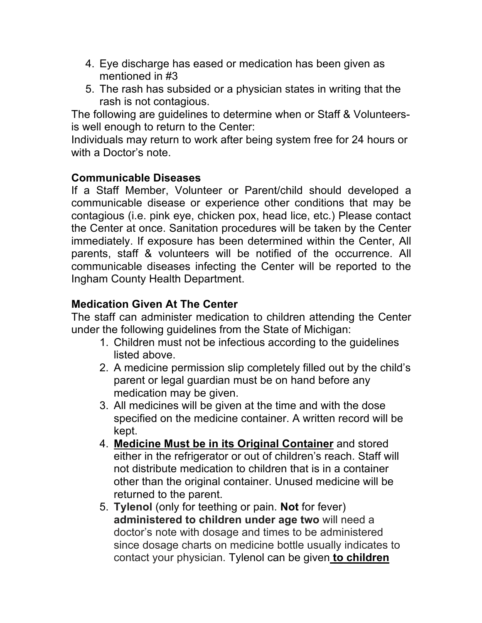- 4. Eye discharge has eased or medication has been given as mentioned in #3
- 5. The rash has subsided or a physician states in writing that the rash is not contagious.

The following are guidelines to determine when or Staff & Volunteersis well enough to return to the Center:

Individuals may return to work after being system free for 24 hours or with a Doctor's note.

### **Communicable Diseases**

If a Staff Member, Volunteer or Parent/child should developed a communicable disease or experience other conditions that may be contagious (i.e. pink eye, chicken pox, head lice, etc.) Please contact the Center at once. Sanitation procedures will be taken by the Center immediately. If exposure has been determined within the Center, All parents, staff & volunteers will be notified of the occurrence. All communicable diseases infecting the Center will be reported to the Ingham County Health Department.

# **Medication Given At The Center**

The staff can administer medication to children attending the Center under the following guidelines from the State of Michigan:

- 1. Children must not be infectious according to the guidelines listed above.
- 2. A medicine permission slip completely filled out by the child's parent or legal guardian must be on hand before any medication may be given.
- 3. All medicines will be given at the time and with the dose specified on the medicine container. A written record will be kept.
- 4. **Medicine Must be in its Original Container** and stored either in the refrigerator or out of children's reach. Staff will not distribute medication to children that is in a container other than the original container. Unused medicine will be returned to the parent.
- 5. **Tylenol** (only for teething or pain. **Not** for fever) **administered to children under age two** will need a doctor's note with dosage and times to be administered since dosage charts on medicine bottle usually indicates to contact your physician. Tylenol can be given **to children**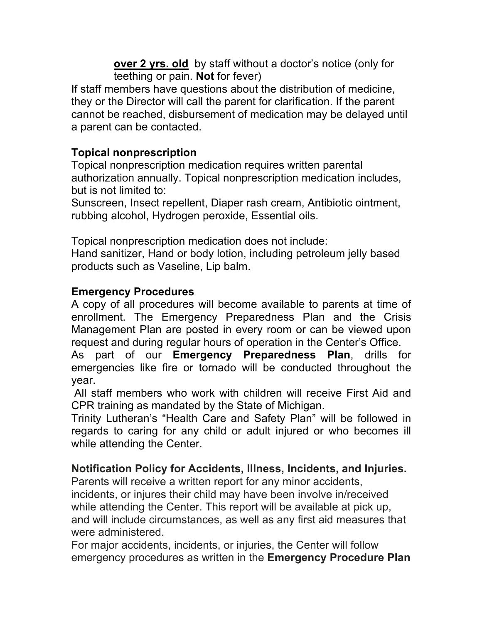**over 2 yrs. old** by staff without a doctor's notice (only for teething or pain. **Not** for fever)

If staff members have questions about the distribution of medicine, they or the Director will call the parent for clarification. If the parent cannot be reached, disbursement of medication may be delayed until a parent can be contacted.

### **Topical nonprescription**

Topical nonprescription medication requires written parental authorization annually. Topical nonprescription medication includes, but is not limited to:

Sunscreen, Insect repellent, Diaper rash cream, Antibiotic ointment, rubbing alcohol, Hydrogen peroxide, Essential oils.

Topical nonprescription medication does not include: Hand sanitizer, Hand or body lotion, including petroleum jelly based products such as Vaseline, Lip balm.

### **Emergency Procedures**

A copy of all procedures will become available to parents at time of enrollment. The Emergency Preparedness Plan and the Crisis Management Plan are posted in every room or can be viewed upon request and during regular hours of operation in the Center's Office.

As part of our **Emergency Preparedness Plan**, drills for emergencies like fire or tornado will be conducted throughout the year.

All staff members who work with children will receive First Aid and CPR training as mandated by the State of Michigan.

Trinity Lutheran's "Health Care and Safety Plan" will be followed in regards to caring for any child or adult injured or who becomes ill while attending the Center.

### **Notification Policy for Accidents, Illness, Incidents, and Injuries.**

Parents will receive a written report for any minor accidents, incidents, or injures their child may have been involve in/received

while attending the Center. This report will be available at pick up, and will include circumstances, as well as any first aid measures that were administered.

For major accidents, incidents, or injuries, the Center will follow emergency procedures as written in the **Emergency Procedure Plan**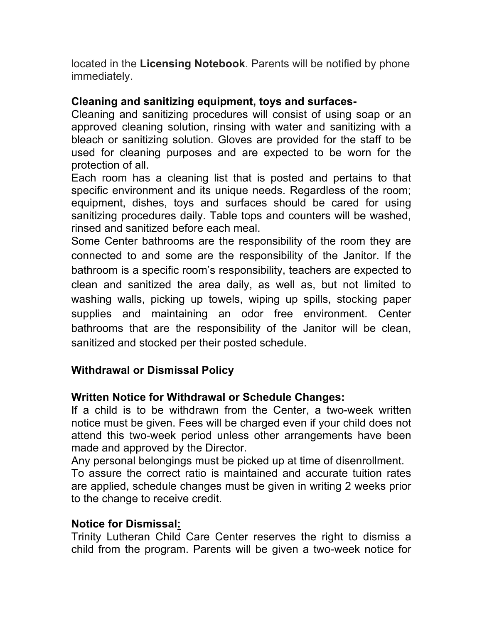located in the **Licensing Notebook**. Parents will be notified by phone immediately.

### **Cleaning and sanitizing equipment, toys and surfaces-**

Cleaning and sanitizing procedures will consist of using soap or an approved cleaning solution, rinsing with water and sanitizing with a bleach or sanitizing solution. Gloves are provided for the staff to be used for cleaning purposes and are expected to be worn for the protection of all.

Each room has a cleaning list that is posted and pertains to that specific environment and its unique needs. Regardless of the room; equipment, dishes, toys and surfaces should be cared for using sanitizing procedures daily. Table tops and counters will be washed, rinsed and sanitized before each meal.

Some Center bathrooms are the responsibility of the room they are connected to and some are the responsibility of the Janitor. If the bathroom is a specific room's responsibility, teachers are expected to clean and sanitized the area daily, as well as, but not limited to washing walls, picking up towels, wiping up spills, stocking paper supplies and maintaining an odor free environment. Center bathrooms that are the responsibility of the Janitor will be clean, sanitized and stocked per their posted schedule.

### **Withdrawal or Dismissal Policy**

### **Written Notice for Withdrawal or Schedule Changes:**

If a child is to be withdrawn from the Center, a two-week written notice must be given. Fees will be charged even if your child does not attend this two-week period unless other arrangements have been made and approved by the Director.

Any personal belongings must be picked up at time of disenrollment.

To assure the correct ratio is maintained and accurate tuition rates are applied, schedule changes must be given in writing 2 weeks prior to the change to receive credit.

#### **Notice for Dismissal:**

Trinity Lutheran Child Care Center reserves the right to dismiss a child from the program. Parents will be given a two-week notice for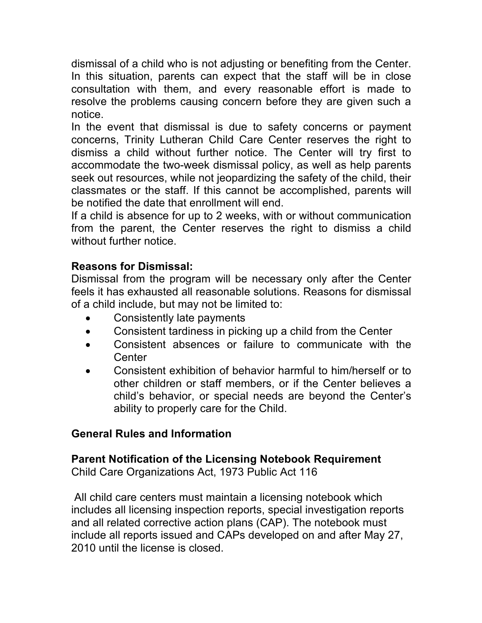dismissal of a child who is not adjusting or benefiting from the Center. In this situation, parents can expect that the staff will be in close consultation with them, and every reasonable effort is made to resolve the problems causing concern before they are given such a notice.

In the event that dismissal is due to safety concerns or payment concerns, Trinity Lutheran Child Care Center reserves the right to dismiss a child without further notice. The Center will try first to accommodate the two-week dismissal policy, as well as help parents seek out resources, while not jeopardizing the safety of the child, their classmates or the staff. If this cannot be accomplished, parents will be notified the date that enrollment will end.

If a child is absence for up to 2 weeks, with or without communication from the parent, the Center reserves the right to dismiss a child without further notice.

### **Reasons for Dismissal:**

Dismissal from the program will be necessary only after the Center feels it has exhausted all reasonable solutions. Reasons for dismissal of a child include, but may not be limited to:

- Consistently late payments
- Consistent tardiness in picking up a child from the Center
- Consistent absences or failure to communicate with the **Center**
- Consistent exhibition of behavior harmful to him/herself or to other children or staff members, or if the Center believes a child's behavior, or special needs are beyond the Center's ability to properly care for the Child.

### **General Rules and Information**

#### **Parent Notification of the Licensing Notebook Requirement** Child Care Organizations Act, 1973 Public Act 116

All child care centers must maintain a licensing notebook which includes all licensing inspection reports, special investigation reports and all related corrective action plans (CAP). The notebook must include all reports issued and CAPs developed on and after May 27, 2010 until the license is closed.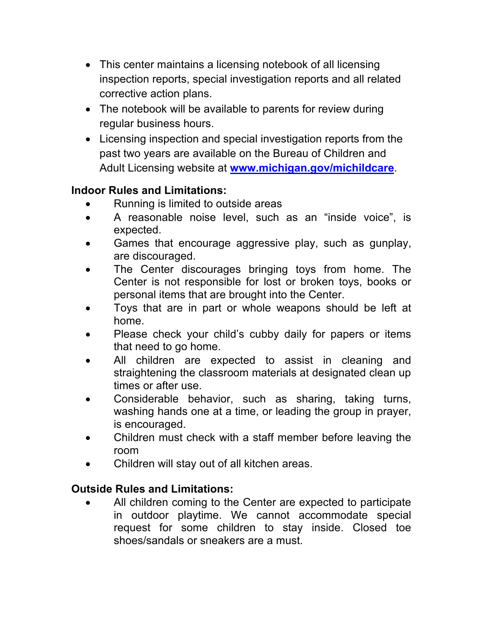- This center maintains a licensing notebook of all licensing inspection reports, special investigation reports and all related corrective action plans.
- The notebook will be available to parents for review during regular business hours.
- Licensing inspection and special investigation reports from the past two years are available on the Bureau of Children and Adult Licensing website at **www.michigan.gov/michildcare**.

### **Indoor Rules and Limitations:**

- Running is limited to outside areas
- A reasonable noise level, such as an "inside voice", is expected.
- Games that encourage aggressive play, such as gunplay, are discouraged.
- The Center discourages bringing toys from home. The Center is not responsible for lost or broken toys, books or personal items that are brought into the Center.
- Toys that are in part or whole weapons should be left at home.
- Please check your child's cubby daily for papers or items that need to go home.
- All children are expected to assist in cleaning and straightening the classroom materials at designated clean up times or after use.
- Considerable behavior, such as sharing, taking turns, washing hands one at a time, or leading the group in prayer, is encouraged.
- Children must check with a staff member before leaving the room
- Children will stay out of all kitchen areas.

# **Outside Rules and Limitations:**

All children coming to the Center are expected to participate in outdoor playtime. We cannot accommodate special request for some children to stay inside. Closed toe shoes/sandals or sneakers are a must.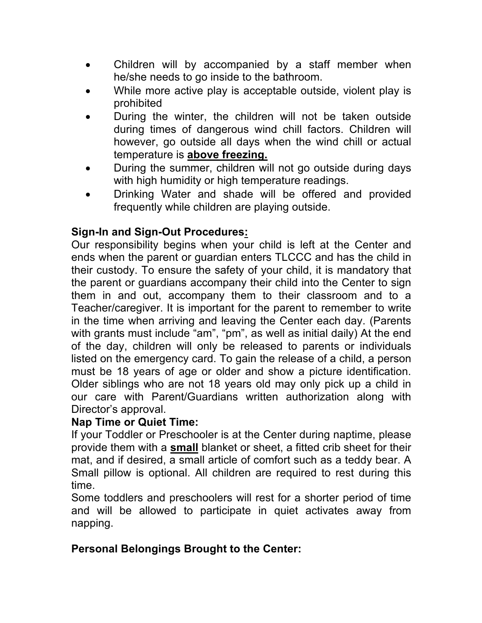- Children will by accompanied by a staff member when he/she needs to go inside to the bathroom.
- While more active play is acceptable outside, violent play is prohibited
- During the winter, the children will not be taken outside during times of dangerous wind chill factors. Children will however, go outside all days when the wind chill or actual temperature is **above freezing.**
- During the summer, children will not go outside during days with high humidity or high temperature readings.
- Drinking Water and shade will be offered and provided frequently while children are playing outside.

# **Sign-In and Sign-Out Procedures:**

Our responsibility begins when your child is left at the Center and ends when the parent or guardian enters TLCCC and has the child in their custody. To ensure the safety of your child, it is mandatory that the parent or guardians accompany their child into the Center to sign them in and out, accompany them to their classroom and to a Teacher/caregiver. It is important for the parent to remember to write in the time when arriving and leaving the Center each day. (Parents with grants must include "am", "pm", as well as initial daily) At the end of the day, children will only be released to parents or individuals listed on the emergency card. To gain the release of a child, a person must be 18 years of age or older and show a picture identification. Older siblings who are not 18 years old may only pick up a child in our care with Parent/Guardians written authorization along with Director's approval.

### **Nap Time or Quiet Time:**

If your Toddler or Preschooler is at the Center during naptime, please provide them with a **small** blanket or sheet, a fitted crib sheet for their mat, and if desired, a small article of comfort such as a teddy bear. A Small pillow is optional. All children are required to rest during this time.

Some toddlers and preschoolers will rest for a shorter period of time and will be allowed to participate in quiet activates away from napping.

# **Personal Belongings Brought to the Center:**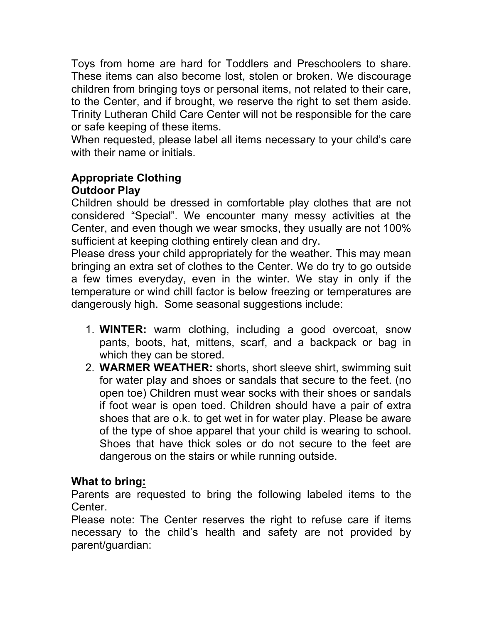Toys from home are hard for Toddlers and Preschoolers to share. These items can also become lost, stolen or broken. We discourage children from bringing toys or personal items, not related to their care, to the Center, and if brought, we reserve the right to set them aside. Trinity Lutheran Child Care Center will not be responsible for the care or safe keeping of these items.

When requested, please label all items necessary to your child's care with their name or initials.

# **Appropriate Clothing Outdoor Play**

Children should be dressed in comfortable play clothes that are not considered "Special". We encounter many messy activities at the Center, and even though we wear smocks, they usually are not 100% sufficient at keeping clothing entirely clean and dry.

Please dress your child appropriately for the weather. This may mean bringing an extra set of clothes to the Center. We do try to go outside a few times everyday, even in the winter. We stay in only if the temperature or wind chill factor is below freezing or temperatures are dangerously high. Some seasonal suggestions include:

- 1. **WINTER:** warm clothing, including a good overcoat, snow pants, boots, hat, mittens, scarf, and a backpack or bag in which they can be stored.
- 2. **WARMER WEATHER:** shorts, short sleeve shirt, swimming suit for water play and shoes or sandals that secure to the feet. (no open toe) Children must wear socks with their shoes or sandals if foot wear is open toed. Children should have a pair of extra shoes that are o.k. to get wet in for water play. Please be aware of the type of shoe apparel that your child is wearing to school. Shoes that have thick soles or do not secure to the feet are dangerous on the stairs or while running outside.

# **What to bring:**

Parents are requested to bring the following labeled items to the Center.

Please note: The Center reserves the right to refuse care if items necessary to the child's health and safety are not provided by parent/guardian: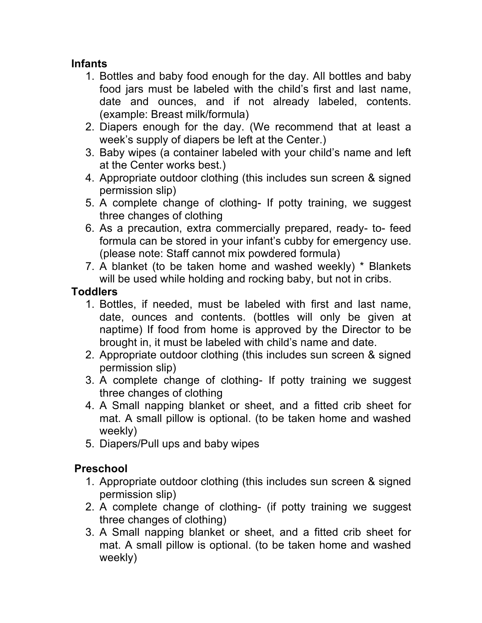# **Infants**

- 1. Bottles and baby food enough for the day. All bottles and baby food jars must be labeled with the child's first and last name, date and ounces, and if not already labeled, contents. (example: Breast milk/formula)
- 2. Diapers enough for the day. (We recommend that at least a week's supply of diapers be left at the Center.)
- 3. Baby wipes (a container labeled with your child's name and left at the Center works best.)
- 4. Appropriate outdoor clothing (this includes sun screen & signed permission slip)
- 5. A complete change of clothing- If potty training, we suggest three changes of clothing
- 6. As a precaution, extra commercially prepared, ready- to- feed formula can be stored in your infant's cubby for emergency use. (please note: Staff cannot mix powdered formula)
- 7. A blanket (to be taken home and washed weekly) \* Blankets will be used while holding and rocking baby, but not in cribs.

# **Toddlers**

- 1. Bottles, if needed, must be labeled with first and last name, date, ounces and contents. (bottles will only be given at naptime) If food from home is approved by the Director to be brought in, it must be labeled with child's name and date.
- 2. Appropriate outdoor clothing (this includes sun screen & signed permission slip)
- 3. A complete change of clothing- If potty training we suggest three changes of clothing
- 4. A Small napping blanket or sheet, and a fitted crib sheet for mat. A small pillow is optional. (to be taken home and washed weekly)
- 5. Diapers/Pull ups and baby wipes

# **Preschool**

- 1. Appropriate outdoor clothing (this includes sun screen & signed permission slip)
- 2. A complete change of clothing- (if potty training we suggest three changes of clothing)
- 3. A Small napping blanket or sheet, and a fitted crib sheet for mat. A small pillow is optional. (to be taken home and washed weekly)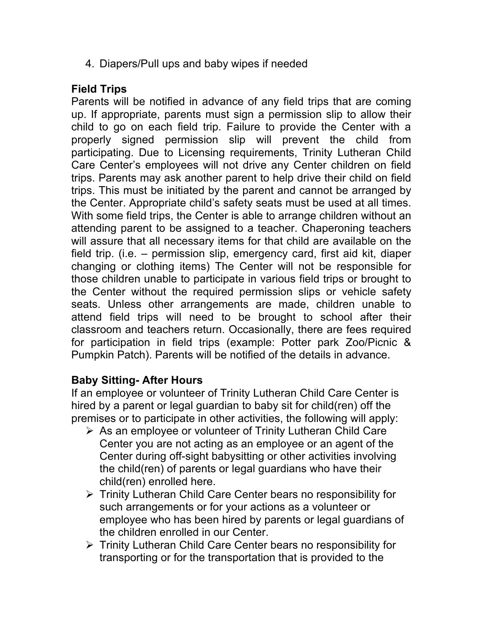4. Diapers/Pull ups and baby wipes if needed

# **Field Trips**

Parents will be notified in advance of any field trips that are coming up. If appropriate, parents must sign a permission slip to allow their child to go on each field trip. Failure to provide the Center with a properly signed permission slip will prevent the child from participating. Due to Licensing requirements, Trinity Lutheran Child Care Center's employees will not drive any Center children on field trips. Parents may ask another parent to help drive their child on field trips. This must be initiated by the parent and cannot be arranged by the Center. Appropriate child's safety seats must be used at all times. With some field trips, the Center is able to arrange children without an attending parent to be assigned to a teacher. Chaperoning teachers will assure that all necessary items for that child are available on the field trip. (i.e. – permission slip, emergency card, first aid kit, diaper changing or clothing items) The Center will not be responsible for those children unable to participate in various field trips or brought to the Center without the required permission slips or vehicle safety seats. Unless other arrangements are made, children unable to attend field trips will need to be brought to school after their classroom and teachers return. Occasionally, there are fees required for participation in field trips (example: Potter park Zoo/Picnic & Pumpkin Patch). Parents will be notified of the details in advance.

### **Baby Sitting- After Hours**

If an employee or volunteer of Trinity Lutheran Child Care Center is hired by a parent or legal guardian to baby sit for child(ren) off the premises or to participate in other activities, the following will apply:

- $\triangleright$  As an employee or volunteer of Trinity Lutheran Child Care Center you are not acting as an employee or an agent of the Center during off-sight babysitting or other activities involving the child(ren) of parents or legal guardians who have their child(ren) enrolled here.
- Ø Trinity Lutheran Child Care Center bears no responsibility for such arrangements or for your actions as a volunteer or employee who has been hired by parents or legal guardians of the children enrolled in our Center.
- $\triangleright$  Trinity Lutheran Child Care Center bears no responsibility for transporting or for the transportation that is provided to the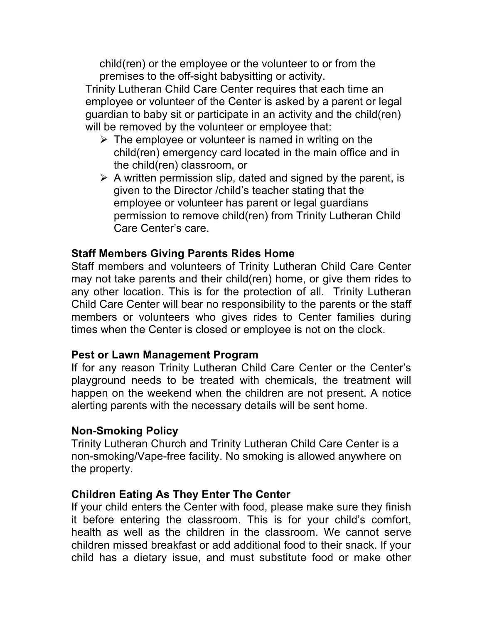child(ren) or the employee or the volunteer to or from the premises to the off-sight babysitting or activity.

Trinity Lutheran Child Care Center requires that each time an employee or volunteer of the Center is asked by a parent or legal guardian to baby sit or participate in an activity and the child(ren) will be removed by the volunteer or employee that:

- $\triangleright$  The employee or volunteer is named in writing on the child(ren) emergency card located in the main office and in the child(ren) classroom, or
- $\triangleright$  A written permission slip, dated and signed by the parent, is given to the Director /child's teacher stating that the employee or volunteer has parent or legal guardians permission to remove child(ren) from Trinity Lutheran Child Care Center's care.

### **Staff Members Giving Parents Rides Home**

Staff members and volunteers of Trinity Lutheran Child Care Center may not take parents and their child(ren) home, or give them rides to any other location. This is for the protection of all. Trinity Lutheran Child Care Center will bear no responsibility to the parents or the staff members or volunteers who gives rides to Center families during times when the Center is closed or employee is not on the clock.

### **Pest or Lawn Management Program**

If for any reason Trinity Lutheran Child Care Center or the Center's playground needs to be treated with chemicals, the treatment will happen on the weekend when the children are not present. A notice alerting parents with the necessary details will be sent home.

### **Non-Smoking Policy**

Trinity Lutheran Church and Trinity Lutheran Child Care Center is a non-smoking/Vape-free facility. No smoking is allowed anywhere on the property.

### **Children Eating As They Enter The Center**

If your child enters the Center with food, please make sure they finish it before entering the classroom. This is for your child's comfort, health as well as the children in the classroom. We cannot serve children missed breakfast or add additional food to their snack. If your child has a dietary issue, and must substitute food or make other